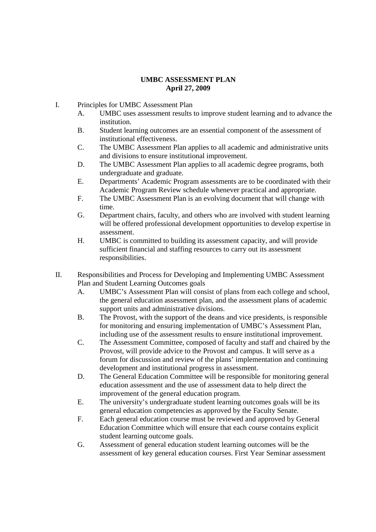## **UMBC ASSESSMENT PLAN April 27, 2009**

I. Principles for UMBC Assessment Plan

- A. UMBC uses assessment results to improve student learning and to advance the institution.
- B. Student learning outcomes are an essential component of the assessment of institutional effectiveness.
- C. The UMBC Assessment Plan applies to all academic and administrative units and divisions to ensure institutional improvement.
- D. The UMBC Assessment Plan applies to all academic degree programs, both undergraduate and graduate.
- E. Departments' Academic Program assessments are to be coordinated with their Academic Program Review schedule whenever practical and appropriate.
- F. The UMBC Assessment Plan is an evolving document that will change with time.
- G. Department chairs, faculty, and others who are involved with student learning will be offered professional development opportunities to develop expertise in assessment.
- H. UMBC is committed to building its assessment capacity, and will provide sufficient financial and staffing resources to carry out its assessment responsibilities.
- II. Responsibilities and Process for Developing and Implementing UMBC Assessment Plan and Student Learning Outcomes goals
	- A. UMBC's Assessment Plan will consist of plans from each college and school, the general education assessment plan, and the assessment plans of academic support units and administrative divisions.
	- B. The Provost, with the support of the deans and vice presidents, is responsible for monitoring and ensuring implementation of UMBC's Assessment Plan, including use of the assessment results to ensure institutional improvement.
	- C. The Assessment Committee, composed of faculty and staff and chaired by the Provost, will provide advice to the Provost and campus. It will serve as a forum for discussion and review of the plans' implementation and continuing development and institutional progress in assessment.
	- D. The General Education Committee will be responsible for monitoring general education assessment and the use of assessment data to help direct the improvement of the general education program.
	- E. The university's undergraduate student learning outcomes goals will be its general education competencies as approved by the Faculty Senate.
	- F. Each general education course must be reviewed and approved by General Education Committee which will ensure that each course contains explicit student learning outcome goals.
	- G. Assessment of general education student learning outcomes will be the assessment of key general education courses. First Year Seminar assessment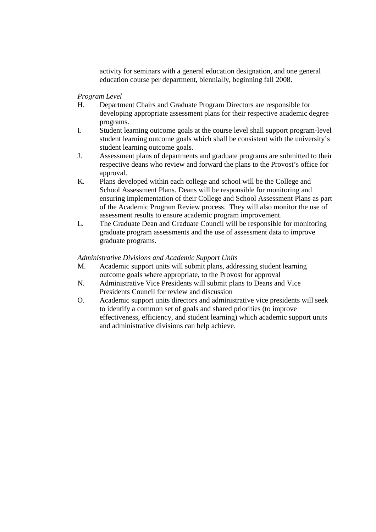activity for seminars with a general education designation, and one general education course per department, biennially, beginning fall 2008.

*Program Level* 

- H. Department Chairs and Graduate Program Directors are responsible for developing appropriate assessment plans for their respective academic degree programs.
- I. Student learning outcome goals at the course level shall support program-level student learning outcome goals which shall be consistent with the university's student learning outcome goals.
- J. Assessment plans of departments and graduate programs are submitted to their respective deans who review and forward the plans to the Provost's office for approval.
- K. Plans developed within each college and school will be the College and School Assessment Plans. Deans will be responsible for monitoring and ensuring implementation of their College and School Assessment Plans as part of the Academic Program Review process. They will also monitor the use of assessment results to ensure academic program improvement.
- L. The Graduate Dean and Graduate Council will be responsible for monitoring graduate program assessments and the use of assessment data to improve graduate programs.

## *Administrative Divisions and Academic Support Units*

- M. Academic support units will submit plans, addressing student learning outcome goals where appropriate, to the Provost for approval
- N. Administrative Vice Presidents will submit plans to Deans and Vice Presidents Council for review and discussion
- O. Academic support units directors and administrative vice presidents will seek to identify a common set of goals and shared priorities (to improve effectiveness, efficiency, and student learning) which academic support units and administrative divisions can help achieve.